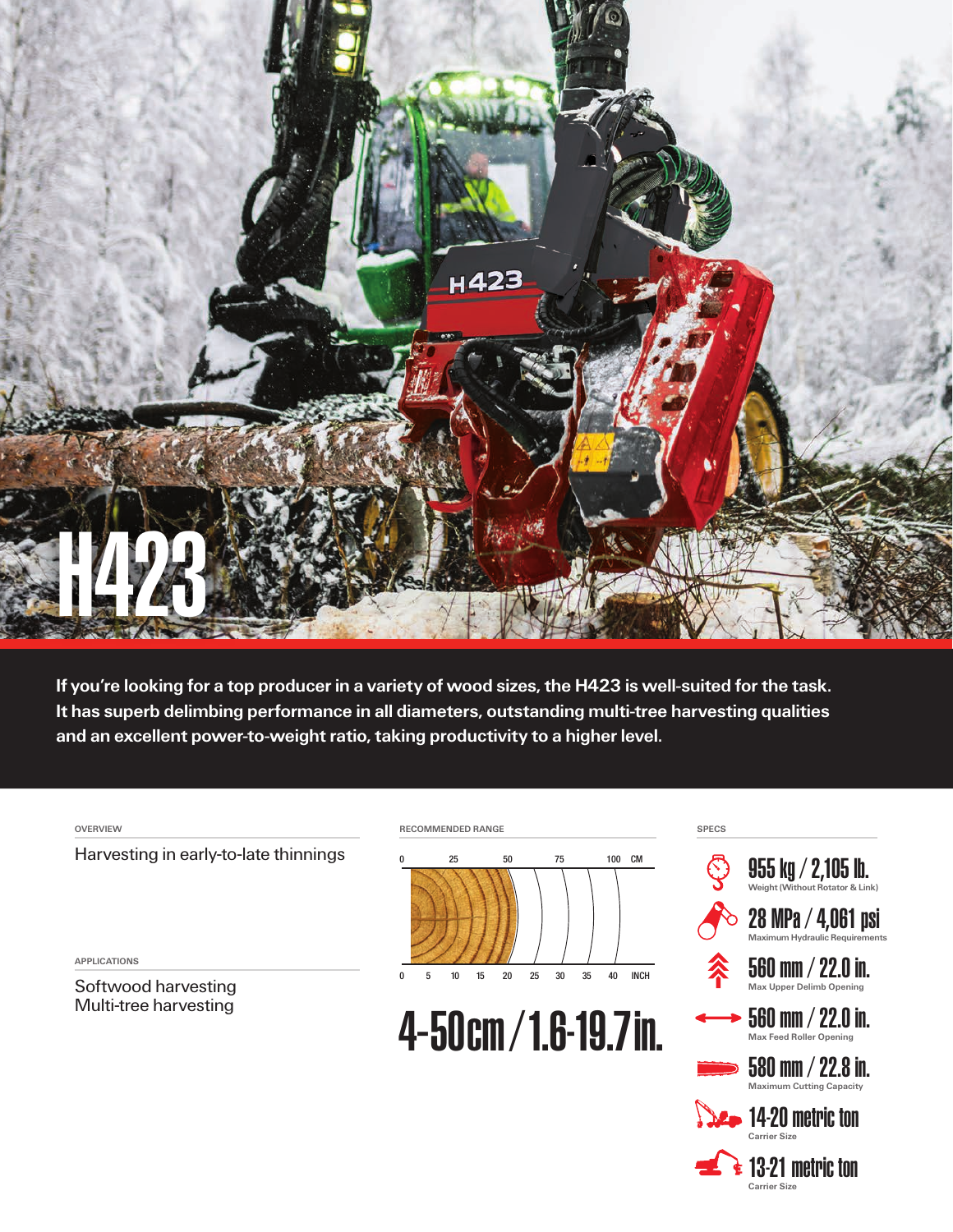

If you're looking for a top producer in a variety of wood sizes, the H423 is well-suited for the task. It has superb delimbing performance in all diameters, outstanding multi-tree harvesting qualities and an excellent power-to-weight ratio, taking productivity to a higher level.

OVERVIEW

Harvesting in early-to-late thinnings

APPLICATIONS

Softwood harvesting Multi-tree harvesting



4-50cm/1.6-19.7in.